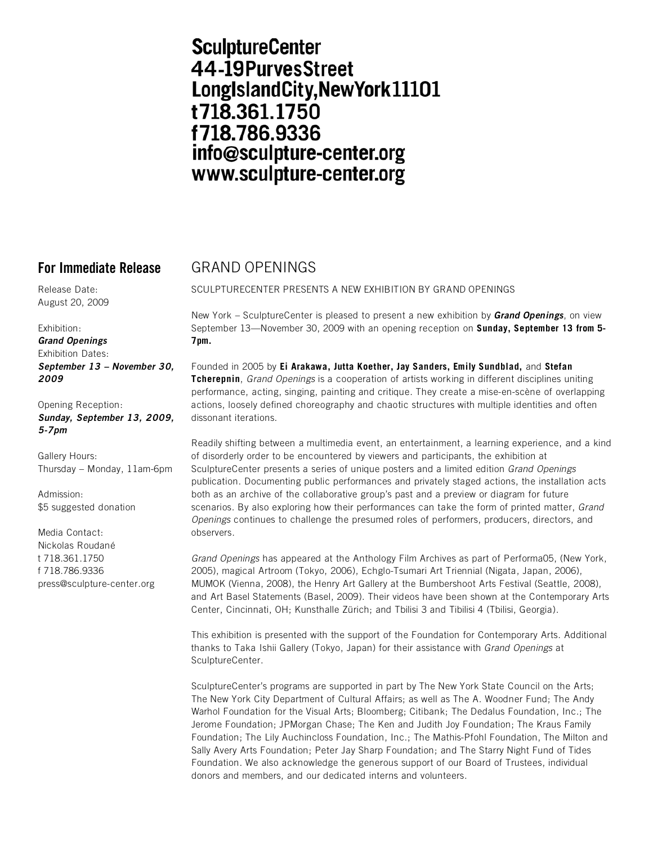## **SculptureCenter** 44-19PurvesStreet LongIslandCity, New York 11101 t718.361.1750 f718.786.9336 info@sculpture-center.org www.sculpture-center.org

**For Immediate Release** GRAND OPENINGS

SCULPTURECENTER PRESENTS A NEW EXHIBITION BY GRAND OPENINGS

Release Date: August 20, 2009

Exhibition:

*Grand Openings*  Exhibition Dates: *September 13 – November 30, 2009* 

Opening Reception: *Sunday, September 13, 2009, 5-7pm* 

Gallery Hours: Thursday – Monday, 11am-6pm

Admission: \$5 suggested donation

Media Contact: Nickolas Roudané t 718.361.1750 f 718.786.9336 press@sculpture-center.org New York – SculptureCenter is pleased to present a new exhibition by *Grand Openings*, on view September 13—November 30, 2009 with an opening reception on **Sunday, September 13 from 5- 7pm.** 

Founded in 2005 by **Ei Arakawa, Jutta Koether, Jay Sanders, Emily Sundblad,** and **Stefan Tcherepnin**, Grand Openings is a cooperation of artists working in different disciplines uniting performance, acting, singing, painting and critique. They create a mise-en-scène of overlapping actions, loosely defined choreography and chaotic structures with multiple identities and often dissonant iterations.

Readily shifting between a multimedia event, an entertainment, a learning experience, and a kind of disorderly order to be encountered by viewers and participants, the exhibition at SculptureCenter presents a series of unique posters and a limited edition Grand Openings publication. Documenting public performances and privately staged actions, the installation acts both as an archive of the collaborative group's past and a preview or diagram for future scenarios. By also exploring how their performances can take the form of printed matter, Grand Openings continues to challenge the presumed roles of performers, producers, directors, and observers.

Grand Openings has appeared at the Anthology Film Archives as part of Performa05, (New York, 2005), magical Artroom (Tokyo, 2006), Echglo-Tsumari Art Triennial (Nigata, Japan, 2006), MUMOK (Vienna, 2008), the Henry Art Gallery at the Bumbershoot Arts Festival (Seattle, 2008), and Art Basel Statements (Basel, 2009). Their videos have been shown at the Contemporary Arts Center, Cincinnati, OH; Kunsthalle Zürich; and Tbilisi 3 and Tibilisi 4 (Tbilisi, Georgia).

This exhibition is presented with the support of the Foundation for Contemporary Arts. Additional thanks to Taka Ishii Gallery (Tokyo, Japan) for their assistance with Grand Openings at SculptureCenter.

SculptureCenter's programs are supported in part by The New York State Council on the Arts; The New York City Department of Cultural Affairs; as well as The A. Woodner Fund; The Andy Warhol Foundation for the Visual Arts; Bloomberg; Citibank; The Dedalus Foundation, Inc.; The Jerome Foundation; JPMorgan Chase; The Ken and Judith Joy Foundation; The Kraus Family Foundation; The Lily Auchincloss Foundation, Inc.; The Mathis-Pfohl Foundation, The Milton and Sally Avery Arts Foundation; Peter Jay Sharp Foundation; and The Starry Night Fund of Tides Foundation. We also acknowledge the generous support of our Board of Trustees, individual donors and members, and our dedicated interns and volunteers.